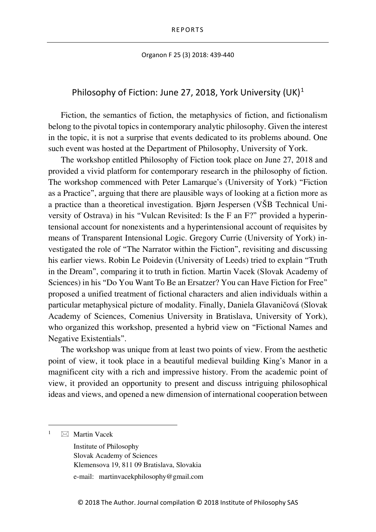## Organon F 25 (3) 2018: 439-440

## Philosophy of Fiction: June 27, 20[1](#page-0-0)8, York University (UK)<sup>1</sup>

Fiction, the semantics of fiction, the metaphysics of fiction, and fictionalism belong to the pivotal topics in contemporary analytic philosophy. Given the interest in the topic, it is not a surprise that events dedicated to its problems abound. One such event was hosted at the Department of Philosophy, University of York.

The workshop entitled Philosophy of Fiction took place on June 27, 2018 and provided a vivid platform for contemporary research in the philosophy of fiction. The workshop commenced with Peter Lamarque's (University of York) "Fiction as a Practice", arguing that there are plausible ways of looking at a fiction more as a practice than a theoretical investigation. Bjørn Jespersen (VŠB Technical University of Ostrava) in his "Vulcan Revisited: Is the F an F?" provided a hyperintensional account for nonexistents and a hyperintensional account of requisites by means of Transparent Intensional Logic. Gregory Currie (University of York) investigated the role of "The Narrator within the Fiction", revisiting and discussing his earlier views. Robin Le Poidevin (University of Leeds) tried to explain "Truth in the Dream", comparing it to truth in fiction. Martin Vacek (Slovak Academy of Sciences) in his "Do You Want To Be an Ersatzer? You can Have Fiction for Free" proposed a unified treatment of fictional characters and alien individuals within a particular metaphysical picture of modality. Finally, Daniela Glavaničová (Slovak Academy of Sciences, Comenius University in Bratislava, University of York), who organized this workshop, presented a hybrid view on "Fictional Names and Negative Existentials".

The workshop was unique from at least two points of view. From the aesthetic point of view, it took place in a beautiful medieval building King's Manor in a magnificent city with a rich and impressive history. From the academic point of view, it provided an opportunity to present and discuss intriguing philosophical ideas and views, and opened a new dimension of international cooperation between

<span id="page-0-0"></span> $\boxtimes$  Martin Vacek

Institute of Philosophy Slovak Academy of Sciences Klemensova 19, 811 09 Bratislava, Slovakia

e-mail: martinvacekphilosophy@gmail.com